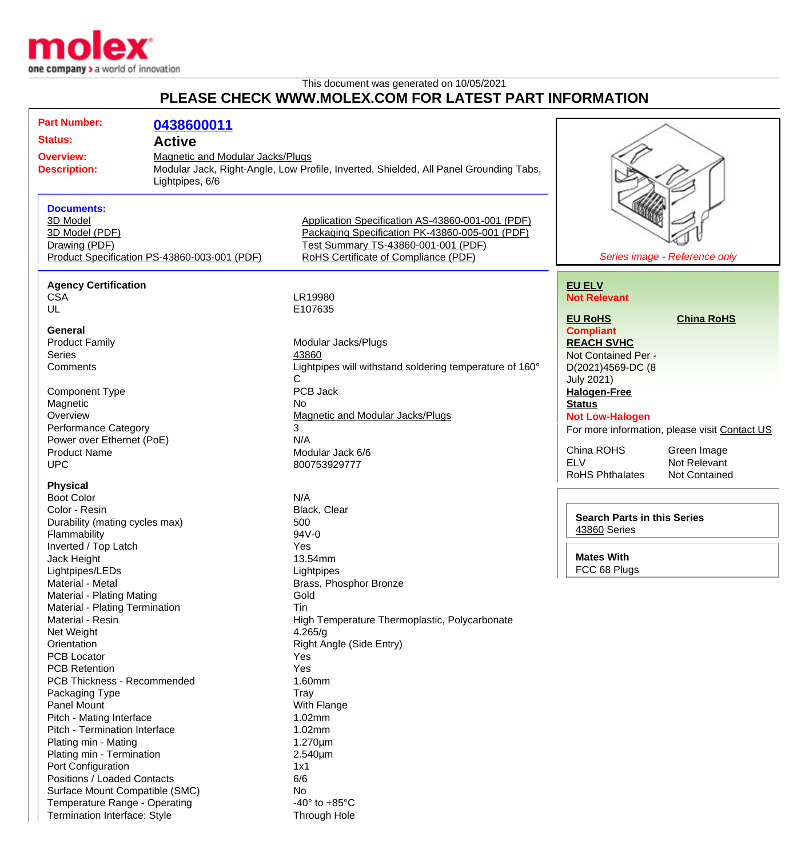

Termination Interface: Style Through Hole

## This document was generated on 10/05/2021 **PLEASE CHECK WWW.MOLEX.COM FOR LATEST PART INFORMATION**

| <b>Part Number:</b>                                  | 0438600011      |                                                                                       |                                    |                                               |
|------------------------------------------------------|-----------------|---------------------------------------------------------------------------------------|------------------------------------|-----------------------------------------------|
| <b>Status:</b>                                       |                 |                                                                                       |                                    |                                               |
| <b>Active</b>                                        |                 |                                                                                       |                                    |                                               |
| Magnetic and Modular Jacks/Plugs<br><b>Overview:</b> |                 |                                                                                       |                                    |                                               |
| <b>Description:</b>                                  |                 | Modular Jack, Right-Angle, Low Profile, Inverted, Shielded, All Panel Grounding Tabs, |                                    |                                               |
|                                                      | Lightpipes, 6/6 |                                                                                       |                                    |                                               |
| <b>Documents:</b>                                    |                 |                                                                                       |                                    |                                               |
| 3D Model                                             |                 | Application Specification AS-43860-001-001 (PDF)                                      |                                    |                                               |
| 3D Model (PDF)                                       |                 | Packaging Specification PK-43860-005-001 (PDF)                                        |                                    |                                               |
| Drawing (PDF)                                        |                 | Test Summary TS-43860-001-001 (PDF)                                                   |                                    |                                               |
| Product Specification PS-43860-003-001 (PDF)         |                 | RoHS Certificate of Compliance (PDF)                                                  |                                    | Series image - Reference only                 |
|                                                      |                 |                                                                                       |                                    |                                               |
| <b>Agency Certification</b>                          |                 |                                                                                       | <b>EU ELV</b>                      |                                               |
| <b>CSA</b>                                           |                 | LR19980                                                                               | <b>Not Relevant</b>                |                                               |
| UL                                                   |                 | E107635                                                                               |                                    |                                               |
|                                                      |                 |                                                                                       | <b>EU RoHS</b>                     | <b>China RoHS</b>                             |
| <b>General</b>                                       |                 |                                                                                       | <b>Compliant</b>                   |                                               |
| <b>Product Family</b>                                |                 | Modular Jacks/Plugs                                                                   | <b>REACH SVHC</b>                  |                                               |
| Series                                               |                 | 43860                                                                                 | Not Contained Per -                |                                               |
| Comments                                             |                 | Lightpipes will withstand soldering temperature of 160°                               | D(2021)4569-DC (8                  |                                               |
|                                                      |                 | $\mathsf{C}$                                                                          | <b>July 2021)</b>                  |                                               |
| <b>Component Type</b>                                |                 | <b>PCB Jack</b>                                                                       | <b>Halogen-Free</b>                |                                               |
| Magnetic                                             |                 | No                                                                                    | <b>Status</b>                      |                                               |
| Overview                                             |                 | Magnetic and Modular Jacks/Plugs                                                      | <b>Not Low-Halogen</b>             |                                               |
| Performance Category                                 |                 | 3                                                                                     |                                    | For more information, please visit Contact US |
| Power over Ethernet (PoE)                            |                 | N/A                                                                                   |                                    |                                               |
| <b>Product Name</b>                                  |                 | Modular Jack 6/6                                                                      | China ROHS                         | Green Image                                   |
| <b>UPC</b>                                           |                 | 800753929777                                                                          | <b>ELV</b>                         | Not Relevant                                  |
| <b>Physical</b>                                      |                 |                                                                                       | <b>RoHS Phthalates</b>             | <b>Not Contained</b>                          |
| <b>Boot Color</b>                                    |                 | N/A                                                                                   |                                    |                                               |
| Color - Resin                                        |                 | Black, Clear                                                                          |                                    |                                               |
| Durability (mating cycles max)                       |                 | 500                                                                                   | <b>Search Parts in this Series</b> |                                               |
| Flammability                                         |                 | 94V-0                                                                                 | 43860 Series                       |                                               |
| Inverted / Top Latch                                 |                 | Yes                                                                                   |                                    |                                               |
| Jack Height                                          |                 | 13.54mm                                                                               | <b>Mates With</b>                  |                                               |
| Lightpipes/LEDs                                      |                 | Lightpipes                                                                            | FCC 68 Plugs                       |                                               |
| Material - Metal                                     |                 | Brass, Phosphor Bronze                                                                |                                    |                                               |
| Material - Plating Mating                            |                 | Gold                                                                                  |                                    |                                               |
| Material - Plating Termination                       |                 | Tin                                                                                   |                                    |                                               |
| Material - Resin                                     |                 | High Temperature Thermoplastic, Polycarbonate                                         |                                    |                                               |
| Net Weight                                           |                 | 4.265/g                                                                               |                                    |                                               |
| Orientation                                          |                 | Right Angle (Side Entry)                                                              |                                    |                                               |
| <b>PCB Locator</b>                                   |                 | Yes                                                                                   |                                    |                                               |
| <b>PCB Retention</b>                                 |                 | Yes                                                                                   |                                    |                                               |
| PCB Thickness - Recommended                          |                 | 1.60mm                                                                                |                                    |                                               |
| Packaging Type                                       |                 | <b>Tray</b>                                                                           |                                    |                                               |
| <b>Panel Mount</b>                                   |                 | With Flange                                                                           |                                    |                                               |
| Pitch - Mating Interface                             |                 | 1.02mm                                                                                |                                    |                                               |
| Pitch - Termination Interface                        |                 | 1.02mm                                                                                |                                    |                                               |
| Plating min - Mating                                 |                 | 1.270µm                                                                               |                                    |                                               |
| Plating min - Termination                            |                 | 2.540µm                                                                               |                                    |                                               |
| Port Configuration                                   |                 | 1x1                                                                                   |                                    |                                               |
| Positions / Loaded Contacts                          |                 | 6/6                                                                                   |                                    |                                               |
| Surface Mount Compatible (SMC)                       |                 | No                                                                                    |                                    |                                               |
| Temperature Range - Operating                        |                 | -40 $\degree$ to +85 $\degree$ C                                                      |                                    |                                               |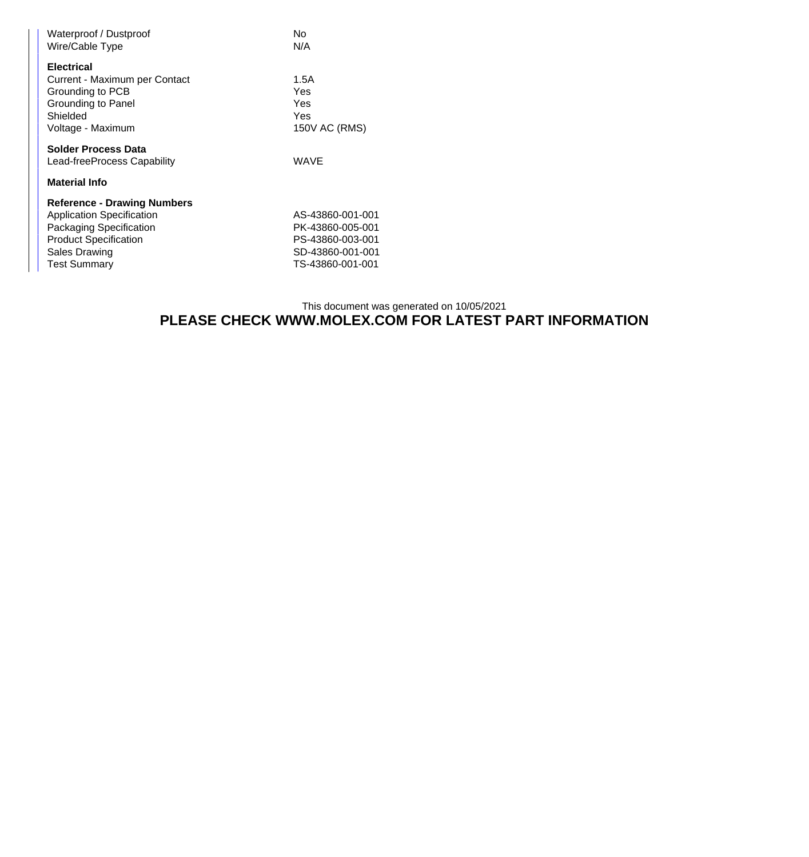| Waterproof / Dustproof<br>Wire/Cable Type                                                                                                                                 | No<br>N/A                                                                                        |  |  |  |
|---------------------------------------------------------------------------------------------------------------------------------------------------------------------------|--------------------------------------------------------------------------------------------------|--|--|--|
| <b>Electrical</b><br>Current - Maximum per Contact<br>Grounding to PCB<br>Grounding to Panel<br>Shielded<br>Voltage - Maximum                                             | 1.5A<br>Yes<br>Yes<br>Yes<br>150V AC (RMS)                                                       |  |  |  |
| Solder Process Data<br>Lead-freeProcess Capability                                                                                                                        | WAVE                                                                                             |  |  |  |
| <b>Material Info</b>                                                                                                                                                      |                                                                                                  |  |  |  |
| <b>Reference - Drawing Numbers</b><br><b>Application Specification</b><br>Packaging Specification<br><b>Product Specification</b><br>Sales Drawing<br><b>Test Summary</b> | AS-43860-001-001<br>PK-43860-005-001<br>PS-43860-003-001<br>SD-43860-001-001<br>TS-43860-001-001 |  |  |  |

## This document was generated on 10/05/2021 **PLEASE CHECK WWW.MOLEX.COM FOR LATEST PART INFORMATION**